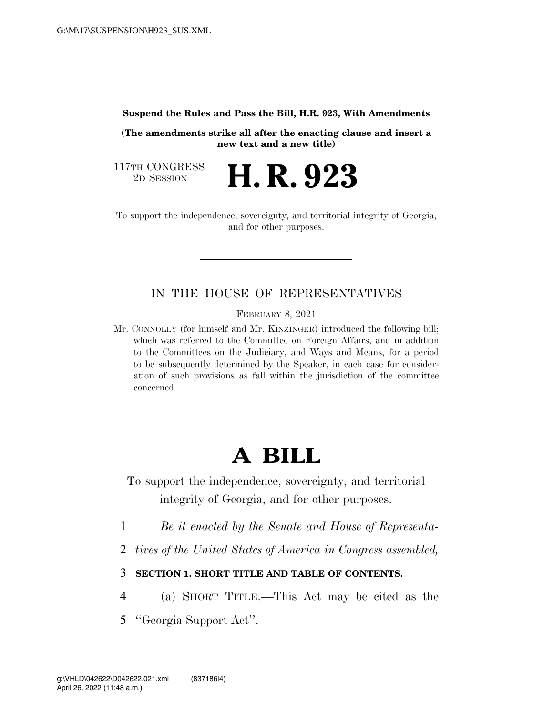#### **Suspend the Rules and Pass the Bill, H.R. 923, With Amendments**

**(The amendments strike all after the enacting clause and insert a new text and a new title)** 

2D SESSION **H. R. 923** 

117TH CONGRESS<br>2D SESSION

To support the independence, sovereignty, and territorial integrity of Georgia, and for other purposes.

# IN THE HOUSE OF REPRESENTATIVES

FEBRUARY 8, 2021

Mr. CONNOLLY (for himself and Mr. KINZINGER) introduced the following bill; which was referred to the Committee on Foreign Affairs, and in addition to the Committees on the Judiciary, and Ways and Means, for a period to be subsequently determined by the Speaker, in each case for consideration of such provisions as fall within the jurisdiction of the committee concerned

# **A BILL**

To support the independence, sovereignty, and territorial integrity of Georgia, and for other purposes.

- 1 *Be it enacted by the Senate and House of Representa-*
- 2 *tives of the United States of America in Congress assembled,*
- 3 **SECTION 1. SHORT TITLE AND TABLE OF CONTENTS.**
- 4 (a) SHORT TITLE.—This Act may be cited as the
- 5 ''Georgia Support Act''.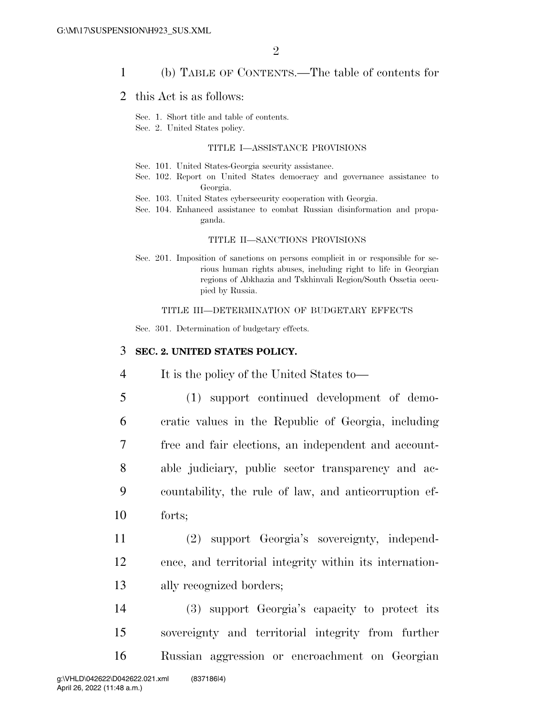### 1 (b) TABLE OF CONTENTS.—The table of contents for

### 2 this Act is as follows:

Sec. 1. Short title and table of contents.

Sec. 2. United States policy.

#### TITLE I—ASSISTANCE PROVISIONS

- Sec. 101. United States-Georgia security assistance.
- Sec. 102. Report on United States democracy and governance assistance to Georgia.
- Sec. 103. United States cybersecurity cooperation with Georgia.
- Sec. 104. Enhanced assistance to combat Russian disinformation and propaganda.

#### TITLE II—SANCTIONS PROVISIONS

Sec. 201. Imposition of sanctions on persons complicit in or responsible for serious human rights abuses, including right to life in Georgian regions of Abkhazia and Tskhinvali Region/South Ossetia occupied by Russia.

#### TITLE III—DETERMINATION OF BUDGETARY EFFECTS

Sec. 301. Determination of budgetary effects.

#### 3 **SEC. 2. UNITED STATES POLICY.**

4 It is the policy of the United States to—

- 5 (1) support continued development of demo-6 cratic values in the Republic of Georgia, including 7 free and fair elections, an independent and account-8 able judiciary, public sector transparency and ac-9 countability, the rule of law, and anticorruption ef-10 forts;
- 11 (2) support Georgia's sovereignty, independ-12 ence, and territorial integrity within its internation-13 ally recognized borders;

14 (3) support Georgia's capacity to protect its 15 sovereignty and territorial integrity from further 16 Russian aggression or encroachment on Georgian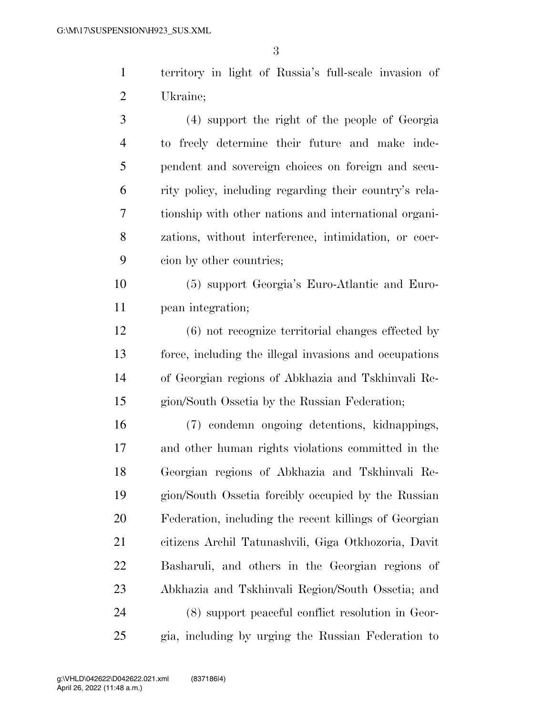territory in light of Russia's full-scale invasion of Ukraine;

 (4) support the right of the people of Georgia to freely determine their future and make inde- pendent and sovereign choices on foreign and secu- rity policy, including regarding their country's rela- tionship with other nations and international organi- zations, without interference, intimidation, or coer-cion by other countries;

 (5) support Georgia's Euro-Atlantic and Euro-pean integration;

 (6) not recognize territorial changes effected by force, including the illegal invasions and occupations of Georgian regions of Abkhazia and Tskhinvali Re-gion/South Ossetia by the Russian Federation;

 (7) condemn ongoing detentions, kidnappings, and other human rights violations committed in the Georgian regions of Abkhazia and Tskhinvali Re- gion/South Ossetia forcibly occupied by the Russian Federation, including the recent killings of Georgian citizens Archil Tatunashvili, Giga Otkhozoria, Davit Basharuli, and others in the Georgian regions of Abkhazia and Tskhinvali Region/South Ossetia; and (8) support peaceful conflict resolution in Geor-gia, including by urging the Russian Federation to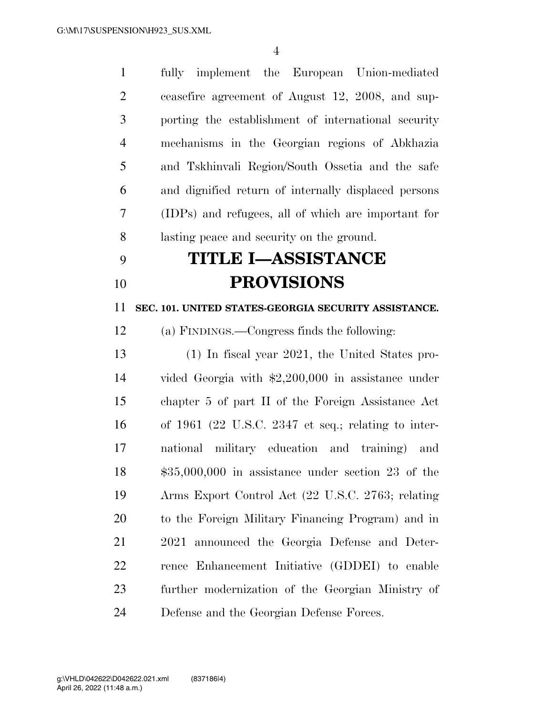fully implement the European Union-mediated ceasefire agreement of August 12, 2008, and sup- porting the establishment of international security mechanisms in the Georgian regions of Abkhazia and Tskhinvali Region/South Ossetia and the safe and dignified return of internally displaced persons (IDPs) and refugees, all of which are important for lasting peace and security on the ground.

# **TITLE I—ASSISTANCE PROVISIONS**

**SEC. 101. UNITED STATES-GEORGIA SECURITY ASSISTANCE.** 

(a) FINDINGS.—Congress finds the following:

 (1) In fiscal year 2021, the United States pro- vided Georgia with \$2,200,000 in assistance under chapter 5 of part II of the Foreign Assistance Act of 1961 (22 U.S.C. 2347 et seq.; relating to inter- national military education and training) and \$35,000,000 in assistance under section 23 of the Arms Export Control Act (22 U.S.C. 2763; relating to the Foreign Military Financing Program) and in 2021 announced the Georgia Defense and Deter- rence Enhancement Initiative (GDDEI) to enable further modernization of the Georgian Ministry of Defense and the Georgian Defense Forces.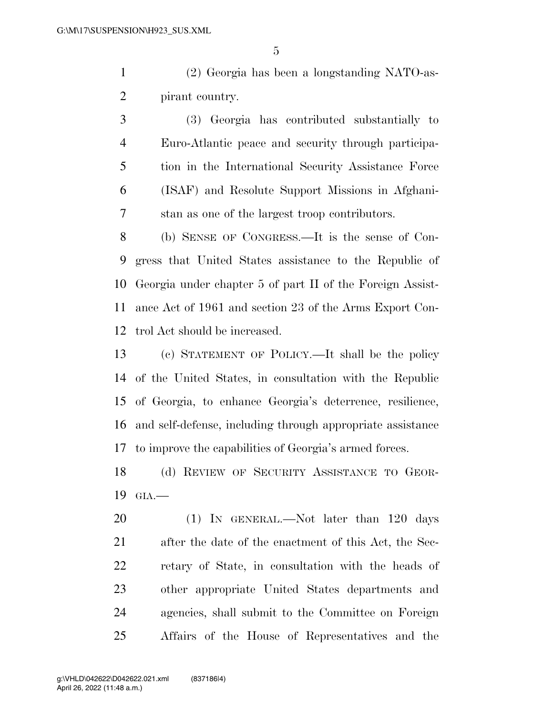(2) Georgia has been a longstanding NATO-as-pirant country.

 (3) Georgia has contributed substantially to Euro-Atlantic peace and security through participa- tion in the International Security Assistance Force (ISAF) and Resolute Support Missions in Afghani-stan as one of the largest troop contributors.

 (b) SENSE OF CONGRESS.—It is the sense of Con- gress that United States assistance to the Republic of Georgia under chapter 5 of part II of the Foreign Assist- ance Act of 1961 and section 23 of the Arms Export Con-trol Act should be increased.

 (c) STATEMENT OF POLICY.—It shall be the policy of the United States, in consultation with the Republic of Georgia, to enhance Georgia's deterrence, resilience, and self-defense, including through appropriate assistance to improve the capabilities of Georgia's armed forces.

 (d) REVIEW OF SECURITY ASSISTANCE TO GEOR-GIA.—

20 (1) IN GENERAL.—Not later than 120 days after the date of the enactment of this Act, the Sec- retary of State, in consultation with the heads of other appropriate United States departments and agencies, shall submit to the Committee on Foreign Affairs of the House of Representatives and the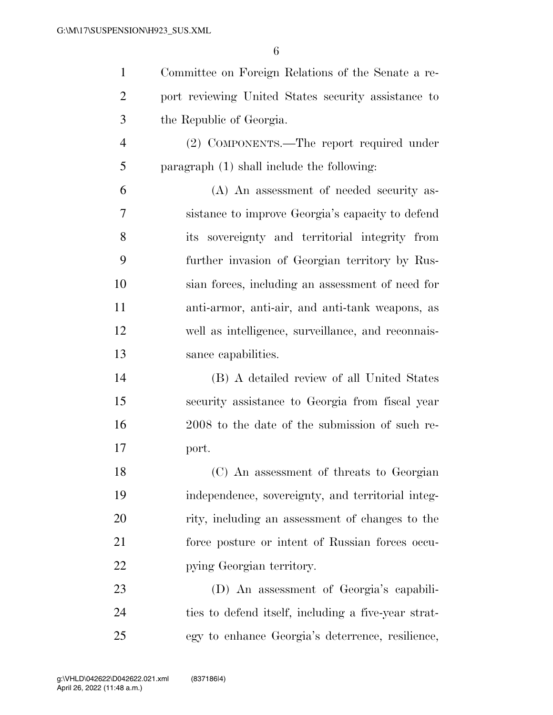| $\mathbf{1}$   | Committee on Foreign Relations of the Senate a re-  |
|----------------|-----------------------------------------------------|
| $\overline{2}$ | port reviewing United States security assistance to |
| 3              | the Republic of Georgia.                            |
| $\overline{4}$ | (2) COMPONENTS.—The report required under           |
| 5              | paragraph $(1)$ shall include the following:        |
| 6              | (A) An assessment of needed security as-            |
| 7              | sistance to improve Georgia's capacity to defend    |
| 8              | its sovereignty and territorial integrity from      |
| 9              | further invasion of Georgian territory by Rus-      |
| 10             | sian forces, including an assessment of need for    |
| 11             | anti-armor, anti-air, and anti-tank weapons, as     |
| 12             | well as intelligence, surveillance, and reconnais-  |
| 13             | sance capabilities.                                 |
| 14             | (B) A detailed review of all United States          |
| 15             | security assistance to Georgia from fiscal year     |
| 16             | 2008 to the date of the submission of such re-      |
| 17             | port.                                               |
| 18             | (C) An assessment of threats to Georgian            |
| 19             | independence, sovereignty, and territorial integ-   |
| 20             | rity, including an assessment of changes to the     |
| 21             | force posture or intent of Russian forces occu-     |
| 22             | pying Georgian territory.                           |
| 23             | (D) An assessment of Georgia's capabili-            |
| 24             | ties to defend itself, including a five-year strat- |

egy to enhance Georgia's deterrence, resilience,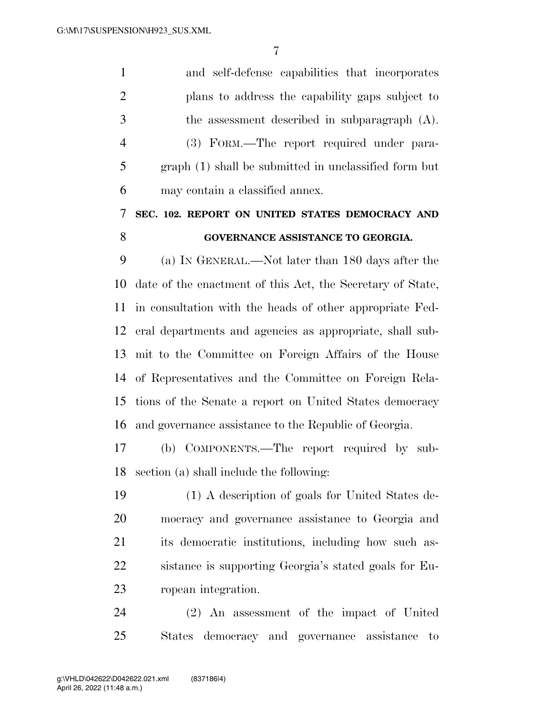and self-defense capabilities that incorporates plans to address the capability gaps subject to the assessment described in subparagraph (A). (3) FORM.—The report required under para- graph (1) shall be submitted in unclassified form but may contain a classified annex. **SEC. 102. REPORT ON UNITED STATES DEMOCRACY AND** 

## **GOVERNANCE ASSISTANCE TO GEORGIA.**

 (a) IN GENERAL.—Not later than 180 days after the date of the enactment of this Act, the Secretary of State, in consultation with the heads of other appropriate Fed- eral departments and agencies as appropriate, shall sub- mit to the Committee on Foreign Affairs of the House of Representatives and the Committee on Foreign Rela- tions of the Senate a report on United States democracy and governance assistance to the Republic of Georgia.

 (b) COMPONENTS.—The report required by sub-section (a) shall include the following:

 (1) A description of goals for United States de- mocracy and governance assistance to Georgia and its democratic institutions, including how such as- sistance is supporting Georgia's stated goals for Eu-ropean integration.

 (2) An assessment of the impact of United States democracy and governance assistance to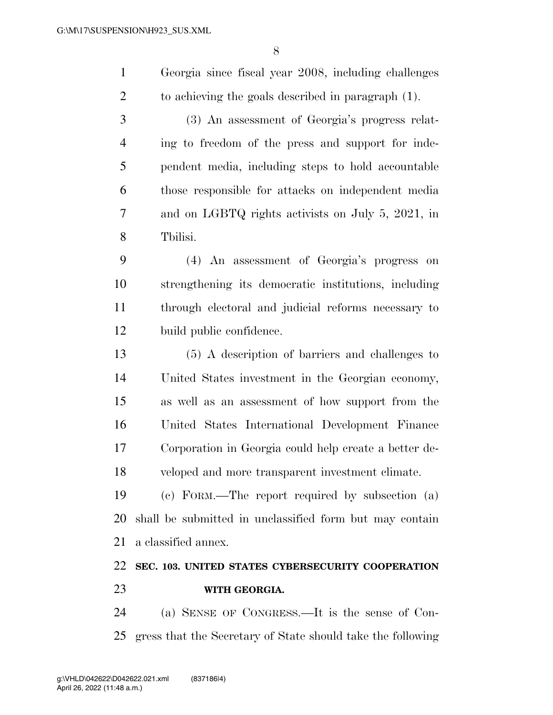|               | Georgia since fiscal year 2008, including challenges |
|---------------|------------------------------------------------------|
|               | to achieving the goals described in paragraph (1).   |
| $\mathcal{R}$ | (3) An assessment of Georgia's progress relat-       |

 ing to freedom of the press and support for inde- pendent media, including steps to hold accountable those responsible for attacks on independent media and on LGBTQ rights activists on July 5, 2021, in Tbilisi.

 (4) An assessment of Georgia's progress on strengthening its democratic institutions, including through electoral and judicial reforms necessary to build public confidence.

 (5) A description of barriers and challenges to United States investment in the Georgian economy, as well as an assessment of how support from the United States International Development Finance Corporation in Georgia could help create a better de-veloped and more transparent investment climate.

 (c) FORM.—The report required by subsection (a) shall be submitted in unclassified form but may contain a classified annex.

# **SEC. 103. UNITED STATES CYBERSECURITY COOPERATION WITH GEORGIA.**

 (a) SENSE OF CONGRESS.—It is the sense of Con-gress that the Secretary of State should take the following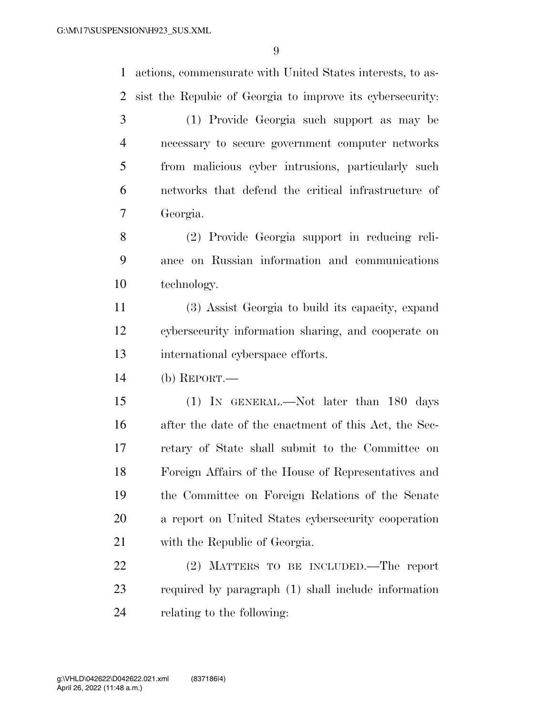actions, commensurate with United States interests, to as-sist the Repubic of Georgia to improve its cybersecurity:

 (1) Provide Georgia such support as may be necessary to secure government computer networks from malicious cyber intrusions, particularly such networks that defend the critical infrastructure of Georgia.

 (2) Provide Georgia support in reducing reli- ance on Russian information and communications technology.

 (3) Assist Georgia to build its capacity, expand cybersecurity information sharing, and cooperate on international cyberspace efforts.

(b) REPORT.—

 (1) IN GENERAL.—Not later than 180 days after the date of the enactment of this Act, the Sec- retary of State shall submit to the Committee on Foreign Affairs of the House of Representatives and the Committee on Foreign Relations of the Senate a report on United States cybersecurity cooperation with the Republic of Georgia.

 (2) MATTERS TO BE INCLUDED.—The report required by paragraph (1) shall include information relating to the following: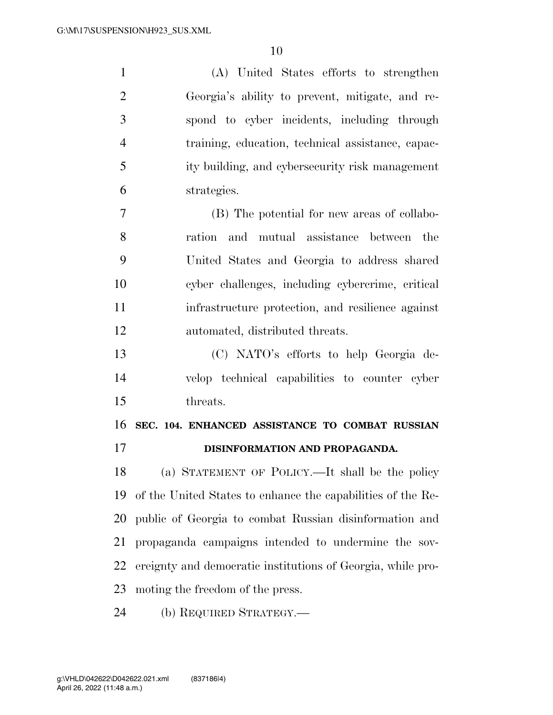| $\mathbf{1}$   | (A) United States efforts to strengthen                     |
|----------------|-------------------------------------------------------------|
| $\overline{2}$ | Georgia's ability to prevent, mitigate, and re-             |
| 3              | spond to cyber incidents, including through                 |
| 4              | training, education, technical assistance, capac-           |
| 5              | ity building, and cybersecurity risk management             |
| 6              | strategies.                                                 |
| $\tau$         | (B) The potential for new areas of collabo-                 |
| 8              | ration and mutual assistance between the                    |
| 9              | United States and Georgia to address shared                 |
| 10             | cyber challenges, including cybercrime, critical            |
| 11             | infrastructure protection, and resilience against           |
| 12             | automated, distributed threats.                             |
| 13             | (C) NATO's efforts to help Georgia de-                      |
| 14             | velop technical capabilities to counter cyber               |
| 15             | threats.                                                    |
| 16             | SEC. 104. ENHANCED ASSISTANCE TO COMBAT RUSSIAN             |
| 17             | DISINFORMATION AND PROPAGANDA.                              |
| 18             | (a) STATEMENT OF POLICY.—It shall be the policy             |
| 19             | of the United States to enhance the capabilities of the Re- |
| 20             | public of Georgia to combat Russian disinformation and      |
| 21             | propaganda campaigns intended to undermine the sov-         |
| 22             | ereignty and democratic institutions of Georgia, while pro- |
| 23             | moting the freedom of the press.                            |
|                |                                                             |

(b) REQUIRED STRATEGY.—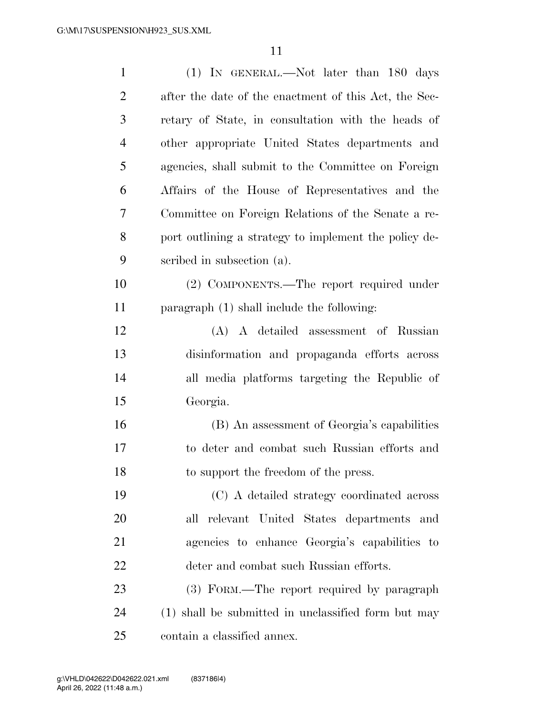| $\mathbf{1}$   | (1) IN GENERAL.—Not later than 180 days               |
|----------------|-------------------------------------------------------|
| $\overline{2}$ | after the date of the enactment of this Act, the Sec- |
| 3              | retary of State, in consultation with the heads of    |
| $\overline{4}$ | other appropriate United States departments and       |
| 5              | agencies, shall submit to the Committee on Foreign    |
| 6              | Affairs of the House of Representatives and the       |
| 7              | Committee on Foreign Relations of the Senate a re-    |
| 8              | port outlining a strategy to implement the policy de- |
| 9              | scribed in subsection (a).                            |
| 10             | (2) COMPONENTS.—The report required under             |
| 11             | paragraph (1) shall include the following:            |
| 12             | (A) A detailed assessment of Russian                  |
| 13             | disinformation and propaganda efforts across          |
| 14             | all media platforms targeting the Republic of         |
| 15             | Georgia.                                              |
| 16             | (B) An assessment of Georgia's capabilities           |
| 17             | to deter and combat such Russian efforts and          |
| 18             | to support the freedom of the press.                  |
| 19             | (C) A detailed strategy coordinated across            |
| 20             | all relevant United States departments and            |
| 21             | agencies to enhance Georgia's capabilities to         |
| 22             | deter and combat such Russian efforts.                |
| 23             | (3) FORM.—The report required by paragraph            |
| 24             | (1) shall be submitted in unclassified form but may   |
| 25             | contain a classified annex.                           |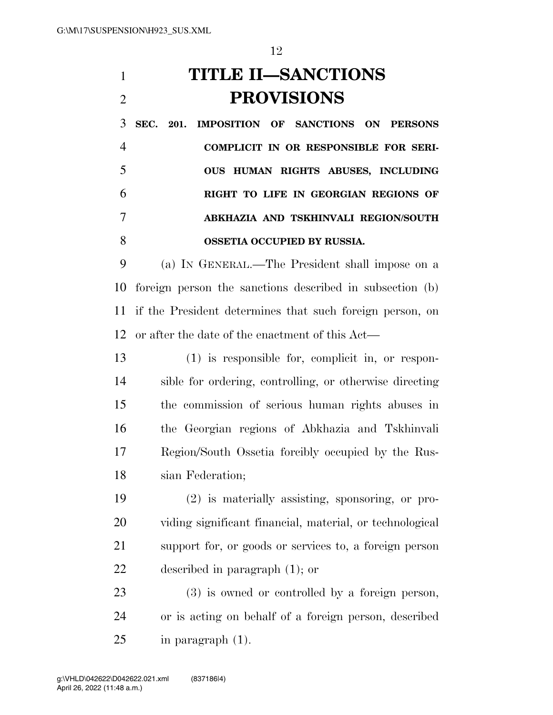**TITLE II—SANCTIONS PROVISIONS** 

 **SEC. 201. IMPOSITION OF SANCTIONS ON PERSONS COMPLICIT IN OR RESPONSIBLE FOR SERI- OUS HUMAN RIGHTS ABUSES, INCLUDING RIGHT TO LIFE IN GEORGIAN REGIONS OF ABKHAZIA AND TSKHINVALI REGION/SOUTH OSSETIA OCCUPIED BY RUSSIA.** 

 (a) IN GENERAL.—The President shall impose on a foreign person the sanctions described in subsection (b) if the President determines that such foreign person, on or after the date of the enactment of this Act—

 (1) is responsible for, complicit in, or respon- sible for ordering, controlling, or otherwise directing the commission of serious human rights abuses in the Georgian regions of Abkhazia and Tskhinvali Region/South Ossetia forcibly occupied by the Rus-sian Federation;

 (2) is materially assisting, sponsoring, or pro- viding significant financial, material, or technological support for, or goods or services to, a foreign person described in paragraph (1); or

 (3) is owned or controlled by a foreign person, or is acting on behalf of a foreign person, described in paragraph (1).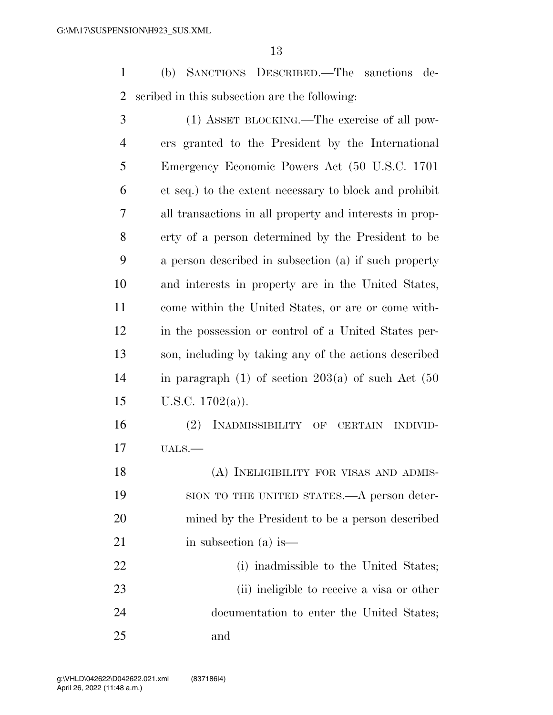(b) SANCTIONS DESCRIBED.—The sanctions de-scribed in this subsection are the following:

| 3              | (1) ASSET BLOCKING.—The exercise of all pow-              |
|----------------|-----------------------------------------------------------|
| $\overline{4}$ | ers granted to the President by the International         |
| 5              | Emergency Economic Powers Act (50 U.S.C. 1701)            |
| 6              | et seq.) to the extent necessary to block and prohibit    |
| 7              | all transactions in all property and interests in prop-   |
| 8              | erty of a person determined by the President to be        |
| 9              | a person described in subsection (a) if such property     |
| 10             | and interests in property are in the United States,       |
| 11             | come within the United States, or are or come with-       |
| 12             | in the possession or control of a United States per-      |
| 13             | son, including by taking any of the actions described     |
| 14             | in paragraph $(1)$ of section $203(a)$ of such Act $(50)$ |
| 15             | U.S.C. $1702(a)$ ).                                       |
| 16             | (2)<br>INADMISSIBILITY OF CERTAIN<br><b>INDIVID-</b>      |
| 17             | $UALS.$ —                                                 |
| 18             | (A) INELIGIBILITY FOR VISAS AND ADMIS-                    |
| 19             | SION TO THE UNITED STATES.—A person deter-                |
| 20             | mined by the President to be a person described           |
| 21             | in subsection (a) is—                                     |
| 22             | (i) inadmissible to the United States;                    |
| 23             | (ii) ineligible to receive a visa or other                |
| 24             | documentation to enter the United States;                 |

and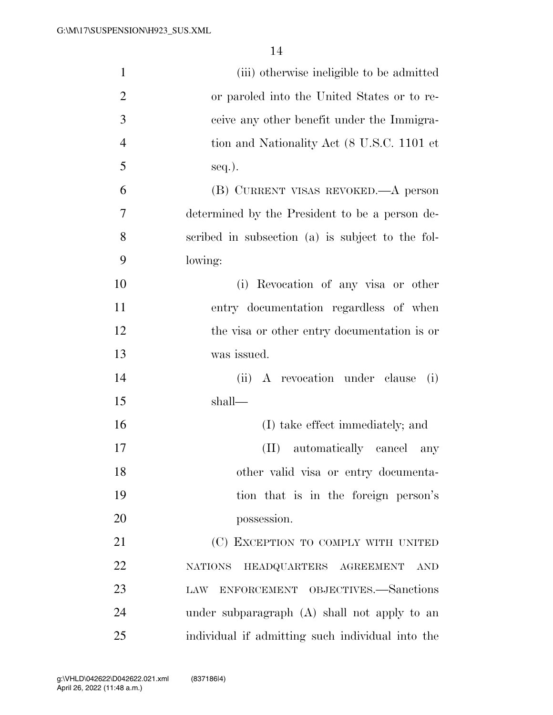| $\mathbf{1}$   | (iii) otherwise ineligible to be admitted              |
|----------------|--------------------------------------------------------|
| $\overline{2}$ | or paroled into the United States or to re-            |
| 3              | ceive any other benefit under the Immigra-             |
| $\overline{4}$ | tion and Nationality Act (8 U.S.C. 1101 et             |
| 5              | seq.).                                                 |
| 6              | (B) CURRENT VISAS REVOKED.—A person                    |
| 7              | determined by the President to be a person de-         |
| 8              | scribed in subsection (a) is subject to the fol-       |
| 9              | lowing:                                                |
| 10             | (i) Revocation of any visa or other                    |
| 11             | entry documentation regardless of when                 |
| 12             | the visa or other entry documentation is or            |
| 13             | was issued.                                            |
| 14             | A revocation under clause<br>(ii)<br>(i)               |
| 15             | shall—                                                 |
| 16             | (I) take effect immediately; and                       |
| 17             | automatically cancel<br>$(\Pi)$<br>any                 |
| 18             | other valid visa or entry documenta-                   |
| 19             | tion that is in the foreign person's                   |
| 20             | possession.                                            |
| 21             | (C) EXCEPTION TO COMPLY WITH UNITED                    |
| 22             | HEADQUARTERS AGREEMENT<br><b>NATIONS</b><br><b>AND</b> |
| 23             | ENFORCEMENT OBJECTIVES.-Sanctions<br>LAW               |
| 24             | under subparagraph (A) shall not apply to an           |
| 25             | individual if admitting such individual into the       |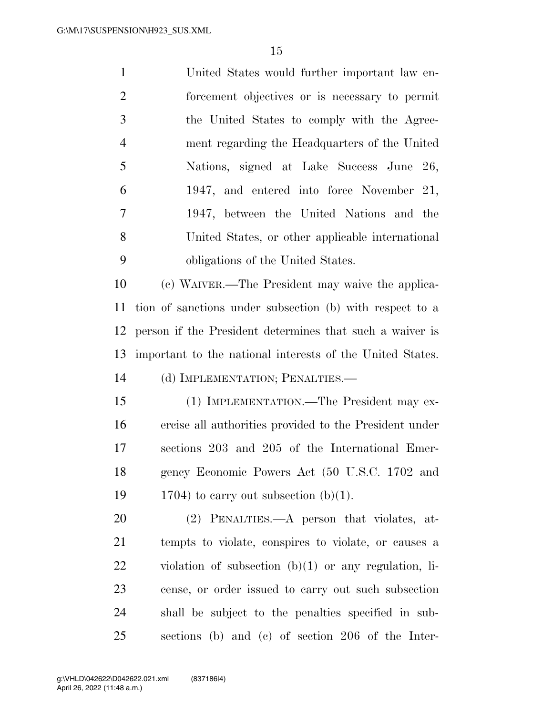| $\mathbf{1}$   | United States would further important law en-    |
|----------------|--------------------------------------------------|
| $\overline{2}$ | forcement objectives or is necessary to permit   |
| 3              | the United States to comply with the Agree-      |
| $\overline{4}$ | ment regarding the Headquarters of the United    |
| 5              | Nations, signed at Lake Success June 26,         |
| 6              | 1947, and entered into force November 21,        |
| 7              | 1947, between the United Nations and the         |
| 8              | United States, or other applicable international |
| 9              | obligations of the United States.                |
|                |                                                  |

 (c) WAIVER.—The President may waive the applica- tion of sanctions under subsection (b) with respect to a person if the President determines that such a waiver is important to the national interests of the United States. (d) IMPLEMENTATION; PENALTIES.—

 (1) IMPLEMENTATION.—The President may ex- ercise all authorities provided to the President under sections 203 and 205 of the International Emer- gency Economic Powers Act (50 U.S.C. 1702 and 19 1704) to carry out subsection  $(b)(1)$ .

 (2) PENALTIES.—A person that violates, at- tempts to violate, conspires to violate, or causes a violation of subsection (b)(1) or any regulation, li- cense, or order issued to carry out such subsection shall be subject to the penalties specified in sub-sections (b) and (c) of section 206 of the Inter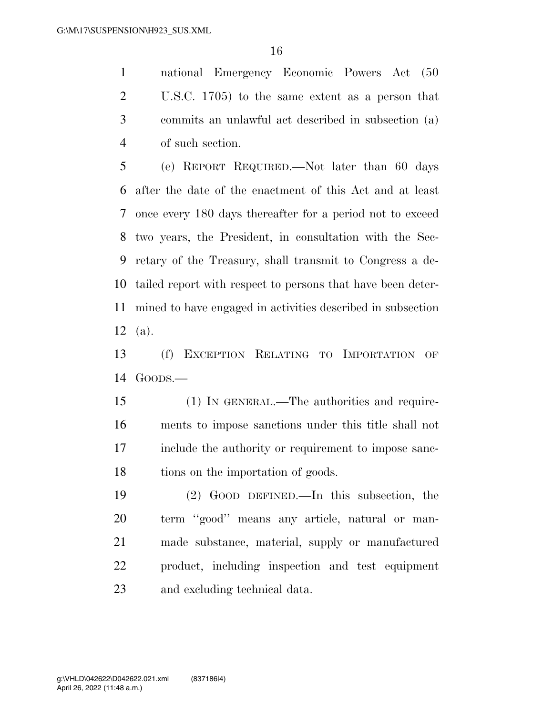national Emergency Economic Powers Act (50 U.S.C. 1705) to the same extent as a person that commits an unlawful act described in subsection (a) of such section.

 (e) REPORT REQUIRED.—Not later than 60 days after the date of the enactment of this Act and at least once every 180 days thereafter for a period not to exceed two years, the President, in consultation with the Sec- retary of the Treasury, shall transmit to Congress a de- tailed report with respect to persons that have been deter- mined to have engaged in activities described in subsection (a).

 (f) EXCEPTION RELATING TO IMPORTATION OF GOODS.—

 (1) IN GENERAL.—The authorities and require- ments to impose sanctions under this title shall not include the authority or requirement to impose sanc-18 tions on the importation of goods.

 (2) GOOD DEFINED.—In this subsection, the term ''good'' means any article, natural or man- made substance, material, supply or manufactured product, including inspection and test equipment and excluding technical data.